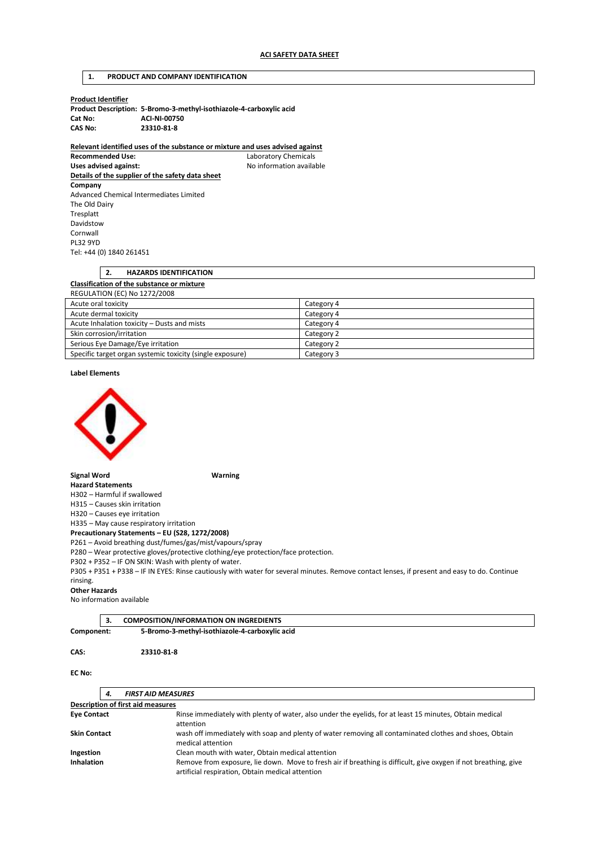### **1. PRODUCT AND COMPANY IDENTIFICATION**

### **Product Identifier**

|         | Product Description: 5-Bromo-3-methyl-isothiazole-4-carboxylic acid |
|---------|---------------------------------------------------------------------|
| Cat No: | ACI-NI-00750                                                        |
| CAS No: | 23310-81-8                                                          |

**Relevant identified uses of the substance or mixture and uses advised against** 

**Recommended Use:** Laboratory Chemicals Uses advised against: **No information available Details of the supplier of the safety data sheet Company**  Advanced Chemical Intermediates Limited The Old Dairy Tresplatt Davidstow Cornwall PL32 9YD Tel: +44 (0) 1840 261451

|                                                   |  | <b>HAZARDS IDENTIFICATION</b> |                            |
|---------------------------------------------------|--|-------------------------------|----------------------------|
| <b>Classification of the substance or mixture</b> |  |                               |                            |
|                                                   |  | REGULATION (EC) No 1272/2008  |                            |
| Acute oral toxicity                               |  |                               | Category 4                 |
| Acute dermal texicity                             |  |                               | $C1 + \alpha \alpha \beta$ |

| Acute dermal toxicity                                     | Category 4 |
|-----------------------------------------------------------|------------|
| Acute Inhalation toxicity – Dusts and mists               | Category 4 |
| Skin corrosion/irritation                                 | Category 2 |
| Serious Eye Damage/Eye irritation                         | Category 2 |
| Specific target organ systemic toxicity (single exposure) | Category 3 |

**Label Elements** 



**Signal Word Warning** 

**Hazard Statements**  H302 – Harmful if swallowed

H315 – Causes skin irritation

H320 – Causes eye irritation

H335 – May cause respiratory irritation

**Precautionary Statements – EU (S28, 1272/2008)** 

P261 – Avoid breathing dust/fumes/gas/mist/vapours/spray

P280 – Wear protective gloves/protective clothing/eye protection/face protection.

P302 + P352 – IF ON SKIN: Wash with plenty of water.

P305 + P351 + P338 – IF IN EYES: Rinse cautiously with water for several minutes. Remove contact lenses, if present and easy to do. Continue rinsing.

#### **Other Hazards**

No information available

|            | <b>COMPOSITION/INFORMATION ON INGREDIENTS</b>  |
|------------|------------------------------------------------|
| Component: | 5-Bromo-3-methyl-isothiazole-4-carboxylic acid |

#### **CAS: 23310-81-8**

**EC No:** 

| 4.                                                            | <b>FIRST AID MEASURES</b>                                                                                                                                           |
|---------------------------------------------------------------|---------------------------------------------------------------------------------------------------------------------------------------------------------------------|
| <b>Description of first aid measures</b>                      |                                                                                                                                                                     |
| <b>Eye Contact</b>                                            | Rinse immediately with plenty of water, also under the eyelids, for at least 15 minutes, Obtain medical<br>attention                                                |
| <b>Skin Contact</b>                                           | wash off immediately with soap and plenty of water removing all contaminated clothes and shoes, Obtain<br>medical attention                                         |
| Clean mouth with water, Obtain medical attention<br>Ingestion |                                                                                                                                                                     |
| Inhalation                                                    | Remove from exposure, lie down. Move to fresh air if breathing is difficult, give oxygen if not breathing, give<br>artificial respiration, Obtain medical attention |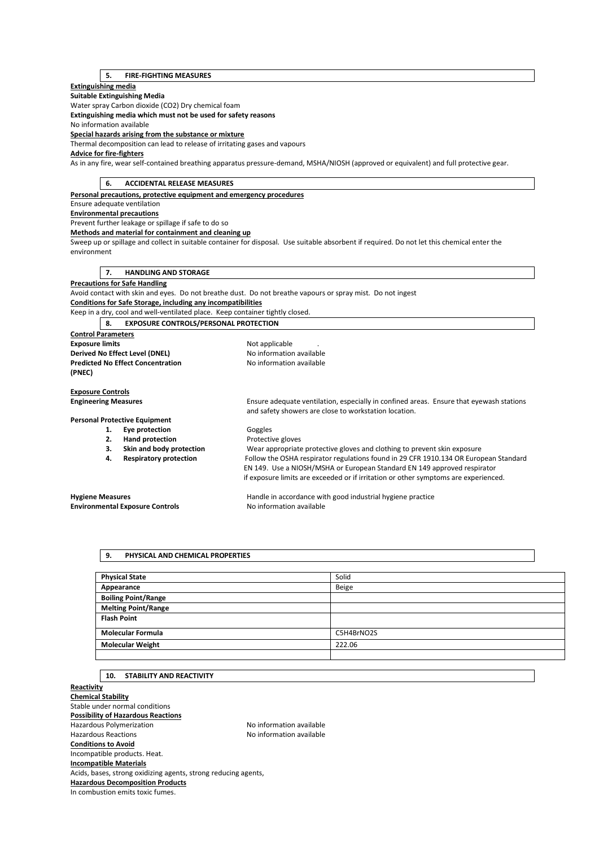# **5. FIRE-FIGHTING MEASURES**

### **Extinguishing media**

**Suitable Extinguishing Media** 

Water spray Carbon dioxide (CO2) Dry chemical foam

**Extinguishing media which must not be used for safety reasons** 

No information available

**Special hazards arising from the substance or mixture** 

Thermal decomposition can lead to release of irritating gases and vapours

# **Advice for fire-fighters**

As in any fire, wear self-contained breathing apparatus pressure-demand, MSHA/NIOSH (approved or equivalent) and full protective gear.

| 6.<br><b>ACCIDENTAL RELEASE MEASURES</b>                                      |                                                                                                                                             |
|-------------------------------------------------------------------------------|---------------------------------------------------------------------------------------------------------------------------------------------|
| Personal precautions, protective equipment and emergency procedures           |                                                                                                                                             |
| Ensure adequate ventilation                                                   |                                                                                                                                             |
| <b>Environmental precautions</b>                                              |                                                                                                                                             |
| Prevent further leakage or spillage if safe to do so                          |                                                                                                                                             |
| Methods and material for containment and cleaning up                          |                                                                                                                                             |
|                                                                               | Sweep up or spillage and collect in suitable container for disposal. Use suitable absorbent if required. Do not let this chemical enter the |
| environment                                                                   |                                                                                                                                             |
|                                                                               |                                                                                                                                             |
| <b>HANDLING AND STORAGE</b><br>7.                                             |                                                                                                                                             |
| <b>Precautions for Safe Handling</b>                                          |                                                                                                                                             |
|                                                                               | Avoid contact with skin and eyes. Do not breathe dust. Do not breathe vapours or spray mist. Do not ingest                                  |
| Conditions for Safe Storage, including any incompatibilities                  |                                                                                                                                             |
| Keep in a dry, cool and well-ventilated place. Keep container tightly closed. |                                                                                                                                             |
| <b>EXPOSURE CONTROLS/PERSONAL PROTECTION</b><br>8.                            |                                                                                                                                             |
| <b>Control Parameters</b>                                                     |                                                                                                                                             |
| <b>Exposure limits</b>                                                        | Not applicable                                                                                                                              |
| Derived No Effect Level (DNEL)                                                | No information available                                                                                                                    |
| <b>Predicted No Effect Concentration</b>                                      | No information available                                                                                                                    |
| (PNEC)                                                                        |                                                                                                                                             |
|                                                                               |                                                                                                                                             |
| <b>Exposure Controls</b>                                                      |                                                                                                                                             |
| <b>Engineering Measures</b>                                                   | Ensure adequate ventilation, especially in confined areas. Ensure that eyewash stations                                                     |
|                                                                               | and safety showers are close to workstation location.                                                                                       |
| <b>Personal Protective Equipment</b>                                          |                                                                                                                                             |
| Eye protection<br>1.                                                          | Goggles                                                                                                                                     |
| <b>Hand protection</b><br>2.                                                  | Protective gloves                                                                                                                           |
| Skin and body protection<br>З.                                                | Wear appropriate protective gloves and clothing to prevent skin exposure                                                                    |
| <b>Respiratory protection</b><br>4.                                           | Follow the OSHA respirator regulations found in 29 CFR 1910.134 OR European Standard                                                        |
|                                                                               | EN 149. Use a NIOSH/MSHA or European Standard EN 149 approved respirator                                                                    |
|                                                                               | if exposure limits are exceeded or if irritation or other symptoms are experienced.                                                         |
| <b>Hygiene Measures</b>                                                       | Handle in accordance with good industrial hygiene practice                                                                                  |
| <b>Environmental Exposure Controls</b>                                        | No information available                                                                                                                    |
|                                                                               |                                                                                                                                             |

### **9. PHYSICAL AND CHEMICAL PROPERTIES**

| <b>Physical State</b>      | Solid      |
|----------------------------|------------|
| Appearance                 | Beige      |
| <b>Boiling Point/Range</b> |            |
| <b>Melting Point/Range</b> |            |
| <b>Flash Point</b>         |            |
| <b>Molecular Formula</b>   | C5H4BrNO2S |
| <b>Molecular Weight</b>    | 222.06     |
|                            |            |

# **10. STABILITY AND REACTIVITY**

**Reactivity Chemical Stability**  Stable under normal conditions **Possibility of Hazardous Reactions**  Hazardous Polymerization and the Society of the No information available<br>Hazardous Reactions available No information available No information available **Conditions to Avoid**  Incompatible products. Heat. **Incompatible Materials**  Acids, bases, strong oxidizing agents, strong reducing agents, **Hazardous Decomposition Products**  In combustion emits toxic fumes.